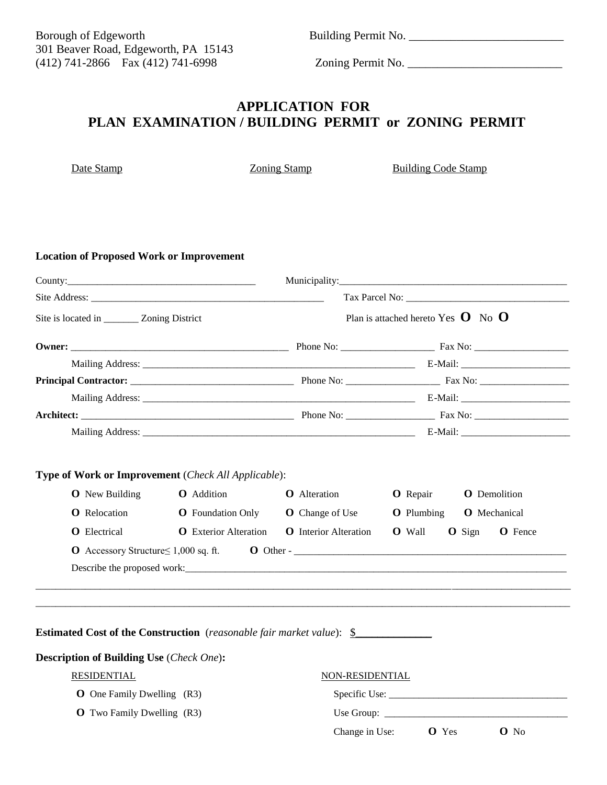(412) 741-2866 Fax (412) 741-6998 Zoning Permit No. \_\_\_\_\_\_\_\_\_\_\_\_\_\_\_\_\_\_\_\_\_\_\_\_\_\_

# **APPLICATION FOR PLAN EXAMINATION / BUILDING PERMIT or ZONING PERMIT**

Date Stamp **Date Stamp Zoning Stamp Building Code Stamp** 

## **Location of Proposed Work or Improvement**

| Site is located in _________ Zoning District                                 |                              |                              | Plan is attached hereto Yes $\bf{O}$ No $\bf{O}$                   |
|------------------------------------------------------------------------------|------------------------------|------------------------------|--------------------------------------------------------------------|
|                                                                              |                              |                              |                                                                    |
|                                                                              |                              |                              |                                                                    |
|                                                                              |                              |                              |                                                                    |
|                                                                              |                              |                              |                                                                    |
|                                                                              |                              |                              |                                                                    |
|                                                                              |                              |                              |                                                                    |
| Type of Work or Improvement (Check All Applicable):                          |                              |                              |                                                                    |
| <b>O</b> New Building                                                        | <b>O</b> Addition            | <b>O</b> Alteration          | <b>O</b> Repair<br><b>O</b> Demolition                             |
| <b>O</b> Relocation                                                          | <b>O</b> Foundation Only     | <b>O</b> Change of Use       | <b>O</b> Plumbing<br><b>O</b> Mechanical                           |
| <b>O</b> Electrical                                                          | <b>O</b> Exterior Alteration | <b>O</b> Interior Alteration | <b>O</b> Wall<br>$\mathbf{O}$ Sign<br><b>O</b> Fence               |
|                                                                              |                              |                              | <b>O</b> Accessory Structure $\leq 1,000$ sq. ft. <b>O</b> Other - |
|                                                                              |                              |                              |                                                                    |
|                                                                              |                              |                              |                                                                    |
| <b>Estimated Cost of the Construction</b> (reasonable fair market value): \$ |                              |                              |                                                                    |
| <b>Description of Building Use (Check One):</b>                              |                              |                              |                                                                    |
| <b>RESIDENTIAL</b>                                                           |                              | NON-RESIDENTIAL              |                                                                    |
| <b>O</b> One Family Dwelling (R3)                                            |                              |                              |                                                                    |
| <b>O</b> Two Family Dwelling (R3)                                            |                              |                              |                                                                    |
|                                                                              |                              | Change in Use:               | O Yes<br>$0$ No                                                    |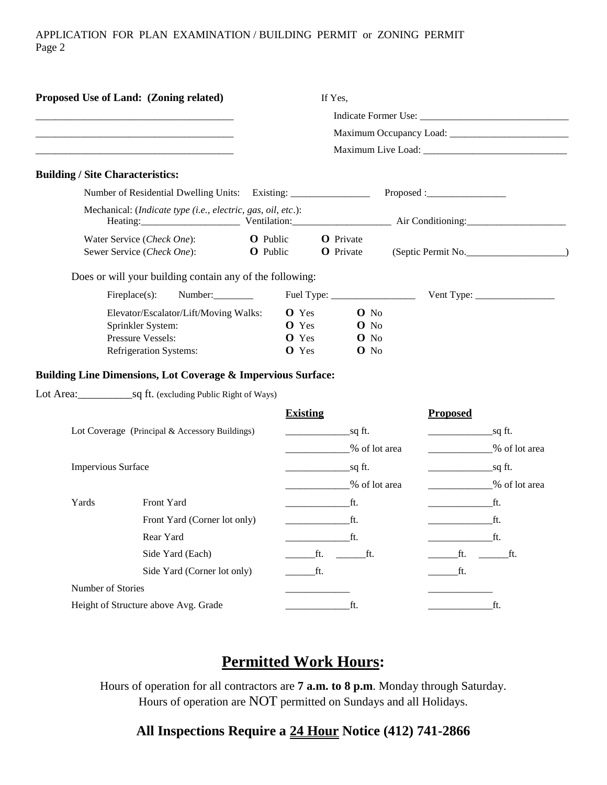## APPLICATION FOR PLAN EXAMINATION / BUILDING PERMIT or ZONING PERMIT Page 2

| Proposed Use of Land: (Zoning related)                                                                               |                                                                  |                                                                                  |                                    |  |                                                                                                                                                                                                                                                                                                                                                                                                                      | If Yes,                              |                                                                          |                                                                                                                                                                                                                                                                                                                                                                                                                      |                                                      |  |
|----------------------------------------------------------------------------------------------------------------------|------------------------------------------------------------------|----------------------------------------------------------------------------------|------------------------------------|--|----------------------------------------------------------------------------------------------------------------------------------------------------------------------------------------------------------------------------------------------------------------------------------------------------------------------------------------------------------------------------------------------------------------------|--------------------------------------|--------------------------------------------------------------------------|----------------------------------------------------------------------------------------------------------------------------------------------------------------------------------------------------------------------------------------------------------------------------------------------------------------------------------------------------------------------------------------------------------------------|------------------------------------------------------|--|
|                                                                                                                      |                                                                  |                                                                                  |                                    |  |                                                                                                                                                                                                                                                                                                                                                                                                                      |                                      |                                                                          |                                                                                                                                                                                                                                                                                                                                                                                                                      |                                                      |  |
| <u> 1989 - Johann Barbara, martxa alemaniar argumento de la contrada de la contrada de la contrada de la contrad</u> |                                                                  |                                                                                  |                                    |  |                                                                                                                                                                                                                                                                                                                                                                                                                      |                                      |                                                                          |                                                                                                                                                                                                                                                                                                                                                                                                                      |                                                      |  |
|                                                                                                                      |                                                                  |                                                                                  |                                    |  |                                                                                                                                                                                                                                                                                                                                                                                                                      |                                      |                                                                          |                                                                                                                                                                                                                                                                                                                                                                                                                      |                                                      |  |
| <b>Building / Site Characteristics:</b>                                                                              |                                                                  |                                                                                  |                                    |  |                                                                                                                                                                                                                                                                                                                                                                                                                      |                                      |                                                                          |                                                                                                                                                                                                                                                                                                                                                                                                                      |                                                      |  |
|                                                                                                                      |                                                                  | Number of Residential Dwelling Units: Existing: ________________________________ |                                    |  |                                                                                                                                                                                                                                                                                                                                                                                                                      |                                      |                                                                          |                                                                                                                                                                                                                                                                                                                                                                                                                      |                                                      |  |
|                                                                                                                      |                                                                  | Mechanical: (Indicate type (i.e., electric, gas, oil, etc.):                     |                                    |  |                                                                                                                                                                                                                                                                                                                                                                                                                      |                                      |                                                                          |                                                                                                                                                                                                                                                                                                                                                                                                                      | Heating: Ventilation: Ventilation: Air Conditioning: |  |
| Sewer Service (Check One):                                                                                           |                                                                  | Water Service (Check One):                                                       | <b>O</b> Public<br><b>O</b> Public |  |                                                                                                                                                                                                                                                                                                                                                                                                                      | <b>O</b> Private<br><b>O</b> Private |                                                                          |                                                                                                                                                                                                                                                                                                                                                                                                                      | (Septic Permit No.                                   |  |
|                                                                                                                      |                                                                  | Does or will your building contain any of the following:                         |                                    |  |                                                                                                                                                                                                                                                                                                                                                                                                                      |                                      |                                                                          |                                                                                                                                                                                                                                                                                                                                                                                                                      |                                                      |  |
| Fireplace(s):                                                                                                        |                                                                  |                                                                                  |                                    |  |                                                                                                                                                                                                                                                                                                                                                                                                                      |                                      |                                                                          |                                                                                                                                                                                                                                                                                                                                                                                                                      |                                                      |  |
|                                                                                                                      | Sprinkler System:<br>Pressure Vessels:<br>Refrigeration Systems: | Elevator/Escalator/Lift/Moving Walks:                                            |                                    |  | $\mathbf{O}$ Yes<br>$\mathbf{O}$ Yes<br>$\mathbf{O}$ Yes<br><b>O</b> Yes                                                                                                                                                                                                                                                                                                                                             |                                      | $\mathbf{0}$ No<br>$\mathbf{0}$ No<br>$\mathbf{0}$ No<br>$\mathbf{O}$ No |                                                                                                                                                                                                                                                                                                                                                                                                                      |                                                      |  |
|                                                                                                                      |                                                                  | <b>Building Line Dimensions, Lot Coverage &amp; Impervious Surface:</b>          |                                    |  |                                                                                                                                                                                                                                                                                                                                                                                                                      |                                      |                                                                          |                                                                                                                                                                                                                                                                                                                                                                                                                      |                                                      |  |
|                                                                                                                      |                                                                  |                                                                                  |                                    |  |                                                                                                                                                                                                                                                                                                                                                                                                                      |                                      |                                                                          |                                                                                                                                                                                                                                                                                                                                                                                                                      |                                                      |  |
|                                                                                                                      |                                                                  |                                                                                  |                                    |  | <b>Existing</b>                                                                                                                                                                                                                                                                                                                                                                                                      |                                      |                                                                          | <b>Proposed</b>                                                                                                                                                                                                                                                                                                                                                                                                      |                                                      |  |
|                                                                                                                      |                                                                  | Lot Coverage (Principal & Accessory Buildings)                                   |                                    |  | $\frac{1}{\sqrt{1-\frac{1}{2}}\sqrt{1-\frac{1}{2}}\sqrt{1-\frac{1}{2}}\sqrt{1-\frac{1}{2}}\sqrt{1-\frac{1}{2}}\sqrt{1-\frac{1}{2}}\sqrt{1-\frac{1}{2}}\sqrt{1-\frac{1}{2}}\sqrt{1-\frac{1}{2}}\sqrt{1-\frac{1}{2}}\sqrt{1-\frac{1}{2}}\sqrt{1-\frac{1}{2}}\sqrt{1-\frac{1}{2}}\sqrt{1-\frac{1}{2}}\sqrt{1-\frac{1}{2}}\sqrt{1-\frac{1}{2}}\sqrt{1-\frac{1}{2}}\sqrt{1-\frac{1}{2}}\sqrt{1-\frac{1}{2}}\sqrt{1-\frac$ |                                      |                                                                          | $\frac{1}{\sqrt{1-\frac{1}{2}}\sqrt{1-\frac{1}{2}}\sqrt{1-\frac{1}{2}}\sqrt{1-\frac{1}{2}}\sqrt{1-\frac{1}{2}}\sqrt{1-\frac{1}{2}}\sqrt{1-\frac{1}{2}}\sqrt{1-\frac{1}{2}}\sqrt{1-\frac{1}{2}}\sqrt{1-\frac{1}{2}}\sqrt{1-\frac{1}{2}}\sqrt{1-\frac{1}{2}}\sqrt{1-\frac{1}{2}}\sqrt{1-\frac{1}{2}}\sqrt{1-\frac{1}{2}}\sqrt{1-\frac{1}{2}}\sqrt{1-\frac{1}{2}}\sqrt{1-\frac{1}{2}}\sqrt{1-\frac{1}{2}}\sqrt{1-\frac$ |                                                      |  |
|                                                                                                                      |                                                                  |                                                                                  |                                    |  |                                                                                                                                                                                                                                                                                                                                                                                                                      |                                      | % of lot area                                                            |                                                                                                                                                                                                                                                                                                                                                                                                                      | 2% of lot area                                       |  |
| <b>Impervious Surface</b>                                                                                            |                                                                  |                                                                                  |                                    |  |                                                                                                                                                                                                                                                                                                                                                                                                                      |                                      |                                                                          | $\frac{1}{\sqrt{1-\frac{1}{2}}\sqrt{1-\frac{1}{2}}\sqrt{1-\frac{1}{2}}\sqrt{1-\frac{1}{2}}\sqrt{1-\frac{1}{2}}\sqrt{1-\frac{1}{2}}\sqrt{1-\frac{1}{2}}\sqrt{1-\frac{1}{2}}\sqrt{1-\frac{1}{2}}\sqrt{1-\frac{1}{2}}\sqrt{1-\frac{1}{2}}\sqrt{1-\frac{1}{2}}\sqrt{1-\frac{1}{2}}\sqrt{1-\frac{1}{2}}\sqrt{1-\frac{1}{2}}\sqrt{1-\frac{1}{2}}\sqrt{1-\frac{1}{2}}\sqrt{1-\frac{1}{2}}\sqrt{1-\frac{1}{2}}\sqrt{1-\frac$ |                                                      |  |
|                                                                                                                      |                                                                  |                                                                                  |                                    |  |                                                                                                                                                                                                                                                                                                                                                                                                                      |                                      | <sup>%</sup> of lot area                                                 |                                                                                                                                                                                                                                                                                                                                                                                                                      | <sup>%</sup> of lot area                             |  |
| Yards                                                                                                                | Front Yard                                                       |                                                                                  |                                    |  | $f_{\rm t}$ .                                                                                                                                                                                                                                                                                                                                                                                                        |                                      |                                                                          |                                                                                                                                                                                                                                                                                                                                                                                                                      | ft.                                                  |  |
|                                                                                                                      |                                                                  | Front Yard (Corner lot only)                                                     |                                    |  | $\overline{\text{f}t}$ .                                                                                                                                                                                                                                                                                                                                                                                             |                                      |                                                                          |                                                                                                                                                                                                                                                                                                                                                                                                                      | ft.                                                  |  |
|                                                                                                                      | Rear Yard                                                        |                                                                                  |                                    |  |                                                                                                                                                                                                                                                                                                                                                                                                                      |                                      | ft.                                                                      |                                                                                                                                                                                                                                                                                                                                                                                                                      | _ft.                                                 |  |
|                                                                                                                      |                                                                  | Side Yard (Each)                                                                 |                                    |  | ft.                                                                                                                                                                                                                                                                                                                                                                                                                  |                                      | ft.                                                                      | $\int$ ft.                                                                                                                                                                                                                                                                                                                                                                                                           | $\int$ ft.                                           |  |
|                                                                                                                      |                                                                  | Side Yard (Corner lot only)                                                      |                                    |  | ft.                                                                                                                                                                                                                                                                                                                                                                                                                  |                                      |                                                                          | ft.                                                                                                                                                                                                                                                                                                                                                                                                                  |                                                      |  |
| Number of Stories                                                                                                    |                                                                  |                                                                                  |                                    |  |                                                                                                                                                                                                                                                                                                                                                                                                                      |                                      |                                                                          |                                                                                                                                                                                                                                                                                                                                                                                                                      |                                                      |  |
| Height of Structure above Avg. Grade                                                                                 |                                                                  |                                                                                  |                                    |  |                                                                                                                                                                                                                                                                                                                                                                                                                      |                                      | ft.                                                                      |                                                                                                                                                                                                                                                                                                                                                                                                                      | ft.                                                  |  |
|                                                                                                                      |                                                                  |                                                                                  |                                    |  |                                                                                                                                                                                                                                                                                                                                                                                                                      |                                      |                                                                          |                                                                                                                                                                                                                                                                                                                                                                                                                      |                                                      |  |

# **Permitted Work Hours:**

Hours of operation for all contractors are **7 a.m. to 8 p.m**. Monday through Saturday. Hours of operation are NOT permitted on Sundays and all Holidays.

# **All Inspections Require a 24 Hour Notice (412) 741-2866**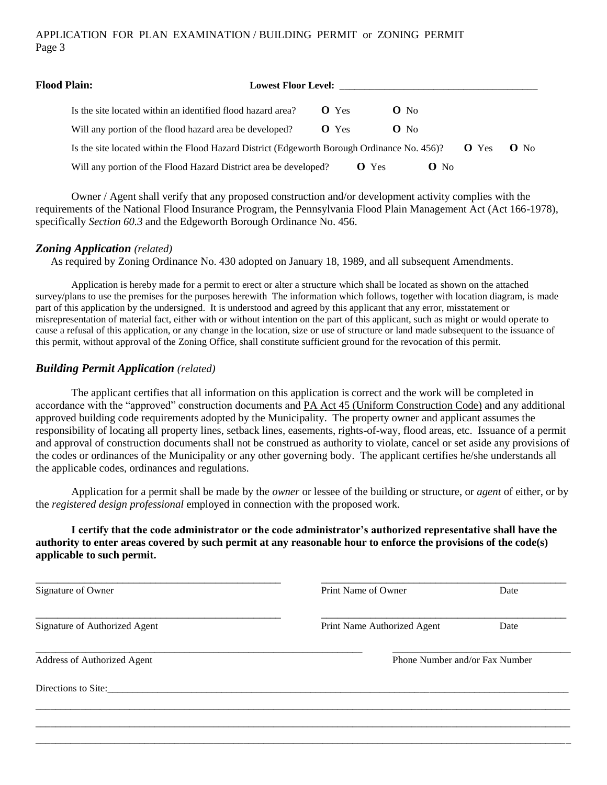| <b>Flood Plain:</b><br><b>Lowest Floor Level:</b>                                           |              |                             |              |             |
|---------------------------------------------------------------------------------------------|--------------|-----------------------------|--------------|-------------|
| Is the site located within an identified flood hazard area?                                 | $\Omega$ Yes | $\Omega$ No                 |              |             |
| Will any portion of the flood hazard area be developed?                                     | $\Omega$ Yes | $\Omega$ No                 |              |             |
| Is the site located within the Flood Hazard District (Edgeworth Borough Ordinance No. 456)? |              |                             | $\Omega$ Yes | $\Omega$ No |
| Will any portion of the Flood Hazard District area be developed?                            |              | $\Omega$ Yes<br>$\Omega$ No |              |             |

Owner / Agent shall verify that any proposed construction and/or development activity complies with the requirements of the National Flood Insurance Program, the Pennsylvania Flood Plain Management Act (Act 166-1978), specifically *Section 60.3* and the Edgeworth Borough Ordinance No. 456.

#### *Zoning Application (related)*

As required by Zoning Ordinance No. 430 adopted on January 18, 1989, and all subsequent Amendments.

Application is hereby made for a permit to erect or alter a structure which shall be located as shown on the attached survey/plans to use the premises for the purposes herewith The information which follows, together with location diagram, is made part of this application by the undersigned. It is understood and agreed by this applicant that any error, misstatement or misrepresentation of material fact, either with or without intention on the part of this applicant, such as might or would operate to cause a refusal of this application, or any change in the location, size or use of structure or land made subsequent to the issuance of this permit, without approval of the Zoning Office, shall constitute sufficient ground for the revocation of this permit.

### *Building Permit Application (related)*

The applicant certifies that all information on this application is correct and the work will be completed in accordance with the "approved" construction documents and PA Act 45 (Uniform Construction Code) and any additional approved building code requirements adopted by the Municipality. The property owner and applicant assumes the responsibility of locating all property lines, setback lines, easements, rights-of-way, flood areas, etc. Issuance of a permit and approval of construction documents shall not be construed as authority to violate, cancel or set aside any provisions of the codes or ordinances of the Municipality or any other governing body. The applicant certifies he/she understands all the applicable codes, ordinances and regulations.

Application for a permit shall be made by the *owner* or lessee of the building or structure, or *agent* of either, or by the *registered design professional* employed in connection with the proposed work.

#### **I certify that the code administrator or the code administrator's authorized representative shall have the authority to enter areas covered by such permit at any reasonable hour to enforce the provisions of the code(s) applicable to such permit.**

| Signature of Owner            | Print Name of Owner            | Date |  |
|-------------------------------|--------------------------------|------|--|
| Signature of Authorized Agent | Print Name Authorized Agent    | Date |  |
| Address of Authorized Agent   | Phone Number and/or Fax Number |      |  |
| Directions to Site:           |                                |      |  |
|                               |                                |      |  |
|                               |                                |      |  |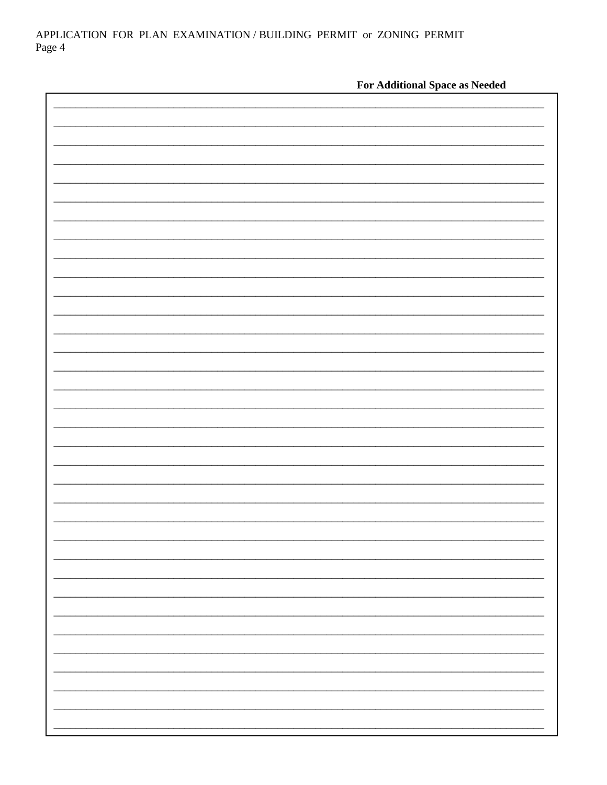APPLICATION FOR PLAN EXAMINATION / BUILDING PERMIT or ZONING PERMIT Page 4

| <b>For Additional Space as Needed</b> |
|---------------------------------------|
|                                       |
|                                       |
|                                       |
|                                       |
|                                       |
|                                       |
|                                       |
|                                       |
|                                       |
|                                       |
|                                       |
|                                       |
|                                       |
|                                       |
|                                       |
|                                       |
|                                       |
|                                       |
|                                       |
|                                       |
|                                       |
|                                       |
|                                       |
|                                       |
|                                       |
|                                       |
|                                       |
|                                       |
|                                       |
|                                       |
|                                       |
|                                       |
|                                       |
|                                       |
|                                       |
|                                       |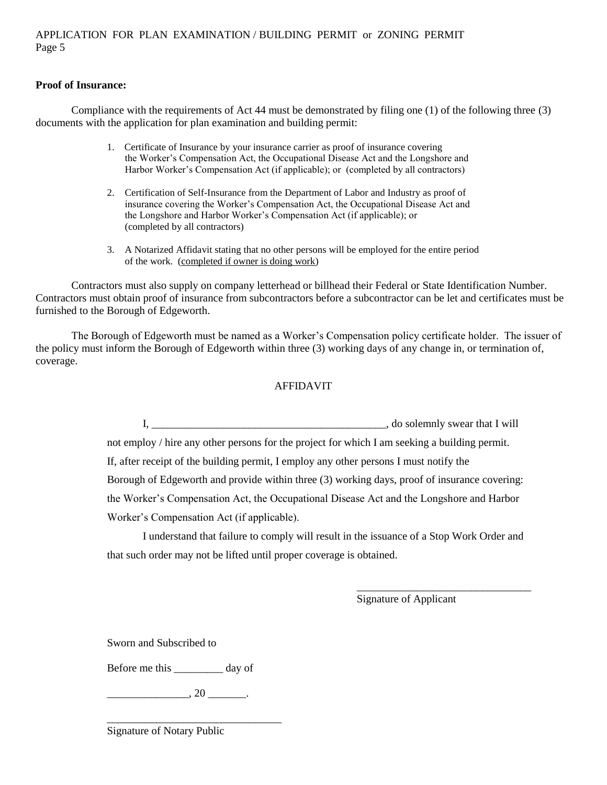#### **Proof of Insurance:**

Compliance with the requirements of Act 44 must be demonstrated by filing one (1) of the following three (3) documents with the application for plan examination and building permit:

- 1. Certificate of Insurance by your insurance carrier as proof of insurance covering the Worker's Compensation Act, the Occupational Disease Act and the Longshore and Harbor Worker's Compensation Act (if applicable); or (completed by all contractors)
- 2. Certification of Self-Insurance from the Department of Labor and Industry as proof of insurance covering the Worker's Compensation Act, the Occupational Disease Act and the Longshore and Harbor Worker's Compensation Act (if applicable); or (completed by all contractors)
- 3. A Notarized Affidavit stating that no other persons will be employed for the entire period of the work. (completed if owner is doing work)

Contractors must also supply on company letterhead or billhead their Federal or State Identification Number. Contractors must obtain proof of insurance from subcontractors before a subcontractor can be let and certificates must be furnished to the Borough of Edgeworth.

The Borough of Edgeworth must be named as a Worker's Compensation policy certificate holder. The issuer of the policy must inform the Borough of Edgeworth within three (3) working days of any change in, or termination of, coverage.

#### AFFIDAVIT

I, \_\_\_\_\_\_\_\_\_\_\_\_\_\_\_\_\_\_\_\_\_\_\_\_\_\_\_\_\_\_\_\_\_\_\_\_\_\_\_\_\_\_\_, do solemnly swear that I will not employ / hire any other persons for the project for which I am seeking a building permit. If, after receipt of the building permit, I employ any other persons I must notify the Borough of Edgeworth and provide within three (3) working days, proof of insurance covering: the Worker's Compensation Act, the Occupational Disease Act and the Longshore and Harbor Worker's Compensation Act (if applicable).

I understand that failure to comply will result in the issuance of a Stop Work Order and that such order may not be lifted until proper coverage is obtained.

Signature of Applicant

\_\_\_\_\_\_\_\_\_\_\_\_\_\_\_\_\_\_\_\_\_\_\_\_\_\_\_\_\_\_\_\_

Sworn and Subscribed to

Before me this \_\_\_\_\_\_\_\_\_ day of

\_\_\_\_\_\_\_\_\_\_\_\_\_\_\_\_\_\_\_\_\_\_\_\_\_\_\_\_\_\_\_\_

 $, 20$   $.$ 

Signature of Notary Public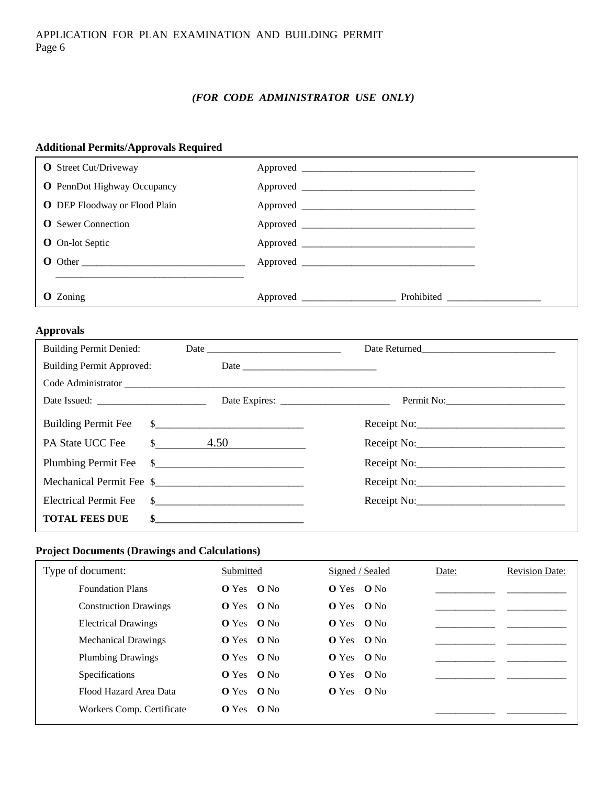## *(FOR CODE ADMINISTRATOR USE ONLY)*

## **Additional Permits/Approvals Required**

| <b>O</b> Street Cut/Driveway         |          |  |
|--------------------------------------|----------|--|
| <b>O</b> PennDot Highway Occupancy   |          |  |
| <b>O</b> DEP Floodway or Flood Plain |          |  |
| <b>O</b> Sewer Connection            |          |  |
| <b>O</b> On-lot Septic               |          |  |
|                                      |          |  |
|                                      |          |  |
| <b>O</b> Zoning                      | Approved |  |

#### **Approvals**

| <b>Building Permit Denied:</b>   |                                                                        |             |
|----------------------------------|------------------------------------------------------------------------|-------------|
| <b>Building Permit Approved:</b> |                                                                        |             |
|                                  |                                                                        |             |
|                                  |                                                                        | Permit No:  |
| <b>Building Permit Fee</b>       | $\frac{1}{2}$                                                          | Receipt No: |
|                                  | PA State UCC Fee $\qquad \qquad \text{\_} \qquad \qquad \text{\_}4.50$ |             |
|                                  |                                                                        |             |
|                                  | Mechanical Permit Fee \$                                               | Receipt No: |
|                                  | Electrical Permit Fee \$                                               |             |
| <b>TOTAL FEES DUE</b>            | $\sim$                                                                 |             |

## **Project Documents (Drawings and Calculations)**

| Type of document:            | Submitted      | Signed / Sealed | Date: | <b>Revision Date:</b> |
|------------------------------|----------------|-----------------|-------|-----------------------|
| <b>Foundation Plans</b>      | O Yes O No     | O Yes O No      |       |                       |
| <b>Construction Drawings</b> | $O Yes$ $O No$ | $O Yes$ $O No$  |       |                       |
| <b>Electrical Drawings</b>   | $O Yes$ $O No$ | $O Yes$ $O No$  |       |                       |
| <b>Mechanical Drawings</b>   | $O Yes$ $O No$ | $O Yes$ $O No$  |       |                       |
| <b>Plumbing Drawings</b>     | $O Yes$ $O No$ | $O Yes$ $O No$  |       |                       |
| Specifications               | $O Yes$ $O No$ | $O Yes$ $O No$  |       |                       |
| Flood Hazard Area Data       | $O Yes$ $O No$ | $O Yes$ $O No$  |       |                       |
| Workers Comp. Certificate    | $O Yes$ $O No$ |                 |       |                       |
|                              |                |                 |       |                       |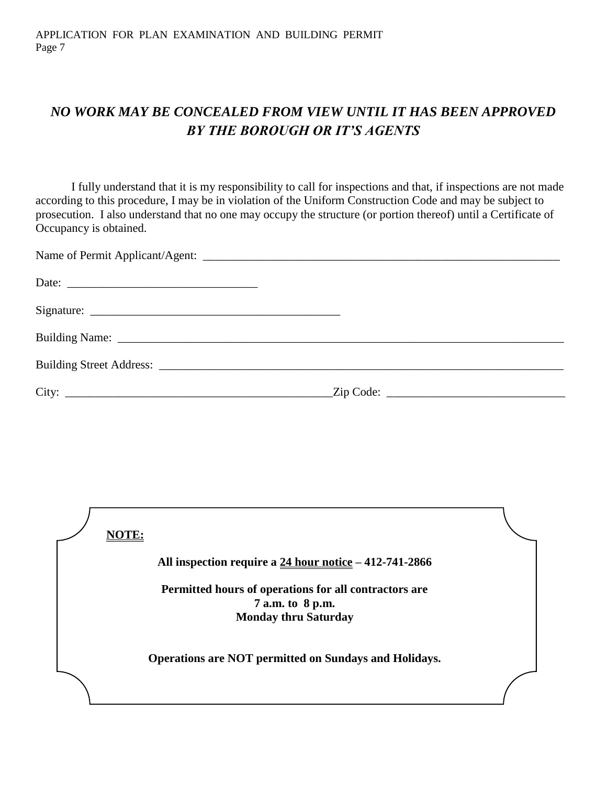# *NO WORK MAY BE CONCEALED FROM VIEW UNTIL IT HAS BEEN APPROVED BY THE BOROUGH OR IT'S AGENTS*

I fully understand that it is my responsibility to call for inspections and that, if inspections are not made according to this procedure, I may be in violation of the Uniform Construction Code and may be subject to prosecution. I also understand that no one may occupy the structure (or portion thereof) until a Certificate of Occupancy is obtained.

| Date: $\overline{\phantom{a}}$ |  |
|--------------------------------|--|
|                                |  |
|                                |  |
|                                |  |
|                                |  |

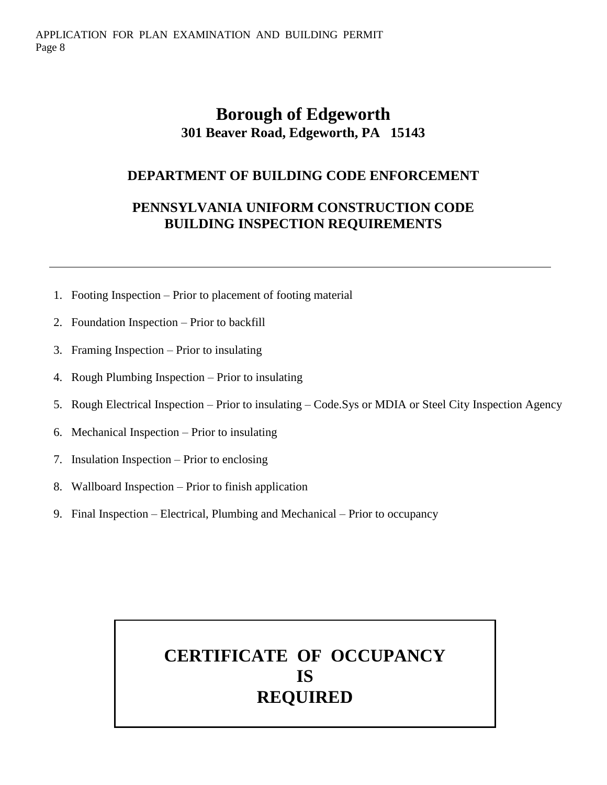# **Borough of Edgeworth 301 Beaver Road, Edgeworth, PA 15143**

# **DEPARTMENT OF BUILDING CODE ENFORCEMENT**

# **PENNSYLVANIA UNIFORM CONSTRUCTION CODE BUILDING INSPECTION REQUIREMENTS**

- 1. Footing Inspection Prior to placement of footing material
- 2. Foundation Inspection Prior to backfill
- 3. Framing Inspection Prior to insulating
- 4. Rough Plumbing Inspection Prior to insulating
- 5. Rough Electrical Inspection Prior to insulating Code.Sys or MDIA or Steel City Inspection Agency
- 6. Mechanical Inspection Prior to insulating
- 7. Insulation Inspection Prior to enclosing
- 8. Wallboard Inspection Prior to finish application
- 9. Final Inspection Electrical, Plumbing and Mechanical Prior to occupancy

# **CERTIFICATE OF OCCUPANCY IS REQUIRED**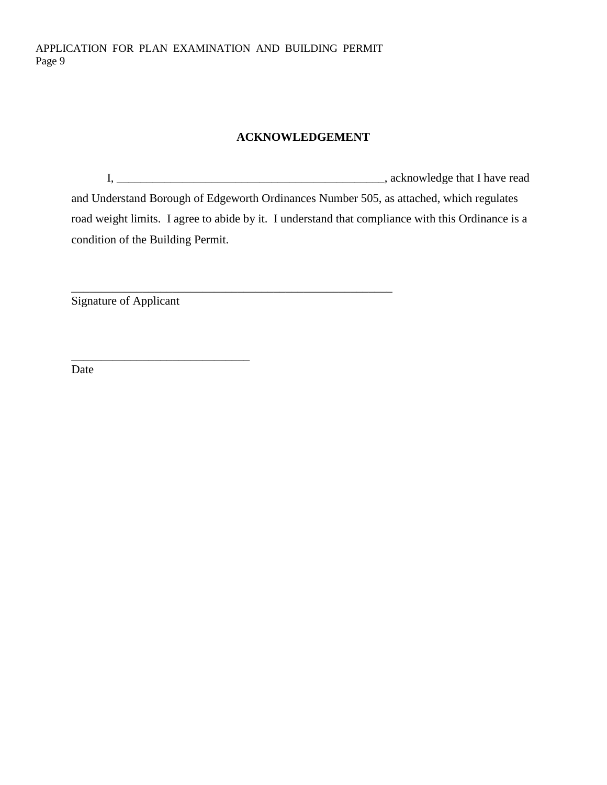\_\_\_\_\_\_\_\_\_\_\_\_\_\_\_\_\_\_\_\_\_\_\_\_\_\_\_\_\_\_\_\_\_\_\_\_\_\_\_\_\_\_\_\_\_\_\_\_\_\_\_\_\_\_

## **ACKNOWLEDGEMENT**

I, \_\_\_\_\_\_\_\_\_\_\_\_\_\_\_\_\_\_\_\_\_\_\_\_\_\_\_\_\_\_\_\_\_\_\_\_\_\_\_\_\_\_\_\_\_, acknowledge that I have read and Understand Borough of Edgeworth Ordinances Number 505, as attached, which regulates road weight limits. I agree to abide by it. I understand that compliance with this Ordinance is a condition of the Building Permit.

Signature of Applicant

\_\_\_\_\_\_\_\_\_\_\_\_\_\_\_\_\_\_\_\_\_\_\_\_\_\_\_\_\_\_

Date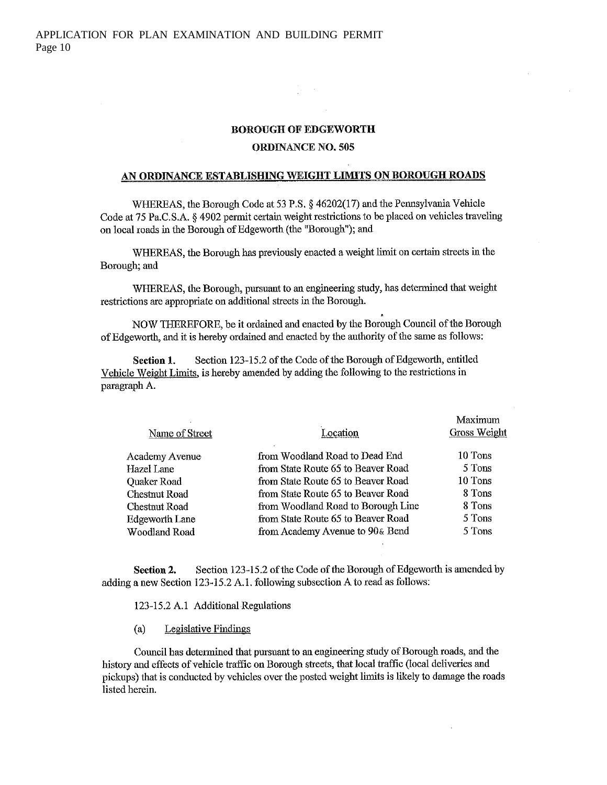#### *BOROUGH OF EDGEWORTH*

#### **ORDINANCE NO. 505**

#### AN ORDINANCE ESTABLISHING WEIGHT LIMITS ON BOROUGH ROADS

WHEREAS, the Borough Code at 53 P.S. § 46202(17) and the Pennsylvania Vehicle Code at 75 Pa.C.S.A. § 4902 permit certain weight restrictions to be placed on vehicles traveling on local roads in the Borough of Edgeworth (the "Borough"); and

WHEREAS, the Borough has previously enacted a weight limit on certain streets in the Borough; and

WHEREAS, the Borough, pursuant to an engineering study, has determined that weight restrictions are appropriate on additional streets in the Borough.

NOW THEREFORE, be it ordained and enacted by the Borough Council of the Borough of Edgeworth, and it is hereby ordained and enacted by the authority of the same as follows:

Section 123-15.2 of the Code of the Borough of Edgeworth, entitled Section 1. Vehicle Weight Limits, is hereby amended by adding the following to the restrictions in paragraph A.

|                       |                                    | Maximum             |
|-----------------------|------------------------------------|---------------------|
| Name of Street        | Location                           | <b>Gross Weight</b> |
| <b>Academy Avenue</b> | from Woodland Road to Dead End     | 10 Tons             |
| Hazel Lane            | from State Route 65 to Beaver Road | 5 Tons              |
| <b>Ouaker Road</b>    | from State Route 65 to Beaver Road | 10 Tons             |
| <b>Chestnut Road</b>  | from State Route 65 to Beaver Road | 8 Tons              |
| <b>Chestnut Road</b>  | from Woodland Road to Borough Line | 8 Tons              |
| <b>Edgeworth Lane</b> | from State Route 65 to Beaver Road | 5 Tons              |
| Woodland Road         | from Academy Avenue to 90 & Bend   | 5 Tons              |

Section 123-15.2 of the Code of the Borough of Edgeworth is amended by **Section 2.** adding a new Section 123-15.2 A.1. following subsection A to read as follows:

123-15.2 A.1 Additional Regulations

Legislative Findings  $(a)$ 

Council has determined that pursuant to an engineering study of Borough roads, and the history and effects of vehicle traffic on Borough streets, that local traffic (local deliveries and pickups) that is conducted by vehicles over the posted weight limits is likely to damage the roads listed herein.